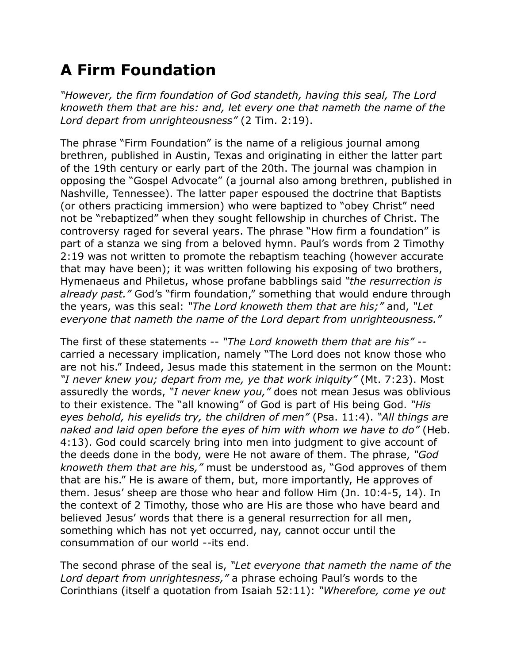## **A Firm Foundation**

*"However, the firm foundation of God standeth, having this seal, The Lord knoweth them that are his: and, let every one that nameth the name of the Lord depart from unrighteousness"* (2 Tim. 2:19).

The phrase "Firm Foundation" is the name of a religious journal among brethren, published in Austin, Texas and originating in either the latter part of the 19th century or early part of the 20th. The journal was champion in opposing the "Gospel Advocate" (a journal also among brethren, published in Nashville, Tennessee). The latter paper espoused the doctrine that Baptists (or others practicing immersion) who were baptized to "obey Christ" need not be "rebaptized" when they sought fellowship in churches of Christ. The controversy raged for several years. The phrase "How firm a foundation" is part of a stanza we sing from a beloved hymn. Paul's words from 2 Timothy 2:19 was not written to promote the rebaptism teaching (however accurate that may have been); it was written following his exposing of two brothers, Hymenaeus and Philetus, whose profane babblings said *"the resurrection is already past."* God's "firm foundation," something that would endure through the years, was this seal: *"The Lord knoweth them that are his;"* and, *"Let everyone that nameth the name of the Lord depart from unrighteousness."*

The first of these statements -- *"The Lord knoweth them that are his"* - carried a necessary implication, namely "The Lord does not know those who are not his." Indeed, Jesus made this statement in the sermon on the Mount: *"I never knew you; depart from me, ye that work iniquity"* (Mt. 7:23). Most assuredly the words, *"I never knew you,"* does not mean Jesus was oblivious to their existence. The "all knowing" of God is part of His being God. *"His eyes behold, his eyelids try, the children of men"* (Psa. 11:4). *"All things are naked and laid open before the eyes of him with whom we have to do"* (Heb. 4:13). God could scarcely bring into men into judgment to give account of the deeds done in the body, were He not aware of them. The phrase, *"God knoweth them that are his,"* must be understood as, "God approves of them that are his." He is aware of them, but, more importantly, He approves of them. Jesus' sheep are those who hear and follow Him (Jn. 10:4-5, 14). In the context of 2 Timothy, those who are His are those who have beard and believed Jesus' words that there is a general resurrection for all men, something which has not yet occurred, nay, cannot occur until the consummation of our world --its end.

The second phrase of the seal is, *"Let everyone that nameth the name of the Lord depart from unrightesness,"* a phrase echoing Paul's words to the Corinthians (itself a quotation from Isaiah 52:11): *"Wherefore, come ye out*